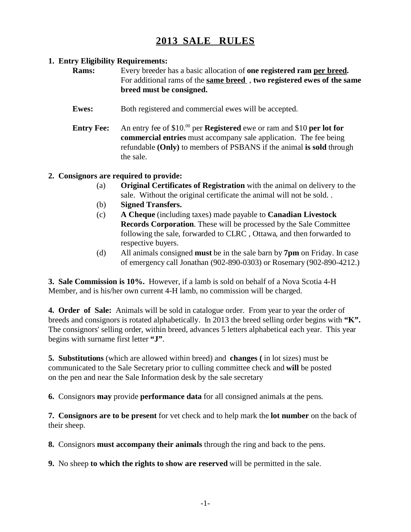## **2013 SALE RULES**

## **1. Entry Eligibility Requirements:**

**Rams:** Every breeder has a basic allocation of **one registered ram per breed.** For additional rams of the **same breed** , **two registered ewes of the same breed must be consigned.**

- **Ewes:** Both registered and commercial ewes will be accepted.
- **Entry Fee:** An entry fee of \$10.<sup>00</sup> per **Registered** ewe or ram and \$10 **per lot for commercial entries** must accompany sale application. The fee being refundable **(Only)** to members of PSBANS if the animal **is sold** through the sale.

## **2. Consignors are required to provide:**

- (a) **Original Certificates of Registration** with the animal on delivery to the sale. Without the original certificate the animal will not be sold. .
- (b) **Signed Transfers.**
- (c) **A Cheque** (including taxes) made payable to **Canadian Livestock Records Corporation**. These will be processed by the Sale Committee following the sale, forwarded to CLRC , Ottawa, and then forwarded to respective buyers.
- (d) All animals consigned **must** be in the sale barn by **7pm** on Friday. In case of emergency call Jonathan (902-890-0303) or Rosemary (902-890-4212.)

**3. Sale Commission is 10%.** However, if a lamb is sold on behalf of a Nova Scotia 4-H Member, and is his/her own current 4-H lamb, no commission will be charged.

**4. Order of Sale:** Animals will be sold in catalogue order. From year to year the order of breeds and consignors is rotated alphabetically. In 2013 the breed selling order begins with **"K".** The consignors' selling order, within breed, advances 5 letters alphabetical each year. This year begins with surname first letter **"J"**.

**5. Substitutions** (which are allowed within breed) and **changes (** in lot sizes) must be communicated to the Sale Secretary prior to culling committee check and **will** be posted on the pen and near the Sale Information desk by the sale secretary

**6.** Consignors **may** provide **performance data** for all consigned animals at the pens.

**7. Consignors are to be present** for vet check and to help mark the **lot number** on the back of their sheep.

**8.** Consignors **must accompany their animals** through the ring and back to the pens.

**9.** No sheep **to which the rights to show are reserved** will be permitted in the sale.